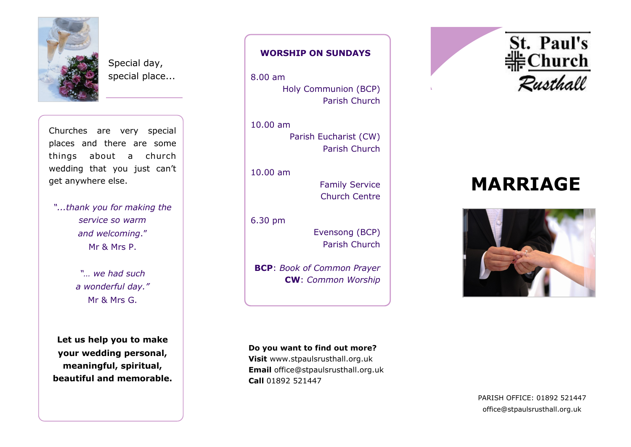

Special day, special place...

Churches are very special places and there are some things about a church wedding that you just can't get anywhere else.

*"...thank you for making the service so warm and welcoming*." Mr & Mrs P.

> *"… we had such a wonderful day."* Mr & Mrs G.

**Let us help you to make your wedding personal, meaningful, spiritual, beautiful and memorable.**

# **WORSHIP ON SUNDAYS**

8.00 am Holy Communion (BCP) Parish Church

10.00 am Parish Eucharist (CW) Parish Church

10.00 am

Family Service Church Centre

6.30 pm

Evensong (BCP) Parish Church

**BCP**: *Book of Common Prayer* **CW**: *Common Worship*

**Do you want to find out more?**

**Visit** www.stpaulsrusthall.org.uk **Email** office@stpaulsrusthall.org.uk **Call** 01892 521447



# **MARRIAGE**



PARISH OFFICE: 01892 521447 office@stpaulsrusthall.org.uk